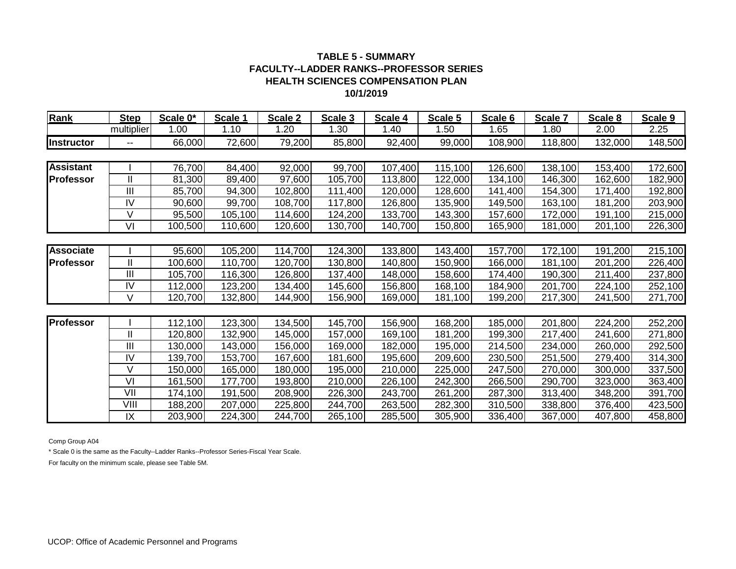| Rank              | <b>Step</b>    | Scale 0* | Scale 1 | Scale 2 | Scale 3 | Scale 4 | Scale 5 | Scale 6 | Scale 7 | Scale 8 | Scale 9 |
|-------------------|----------------|----------|---------|---------|---------|---------|---------|---------|---------|---------|---------|
|                   | multiplier     | 1.00     | 1.10    | 1.20    | 1.30    | 1.40    | 1.50    | 1.65    | 1.80    | 2.00    | 2.25    |
| <b>Instructor</b> | $\mathbf{u}$   | 66,000   | 72,600  | 79,200  | 85,800  | 92,400  | 99,000  | 108,900 | 118,800 | 132,000 | 148,500 |
|                   |                |          |         |         |         |         |         |         |         |         |         |
| <b>Assistant</b>  |                | 76,700   | 84,400  | 92,000  | 99,700  | 107,400 | 115,100 | 126,600 | 138,100 | 153,400 | 172,600 |
| <b>Professor</b>  | Ш              | 81,300   | 89,400  | 97,600  | 105,700 | 113,800 | 122,000 | 134,100 | 146,300 | 162,600 | 182,900 |
|                   | III            | 85,700   | 94,300  | 102,800 | 111,400 | 120,000 | 128,600 | 141,400 | 154,300 | 171,400 | 192,800 |
|                   | IV             | 90,600   | 99,700  | 108,700 | 117,800 | 126,800 | 135,900 | 149,500 | 163,100 | 181,200 | 203,900 |
|                   | V              | 95,500   | 105,100 | 114,600 | 124,200 | 133,700 | 143,300 | 157,600 | 172,000 | 191,100 | 215,000 |
|                   | VI             | 100,500  | 110,600 | 120,600 | 130,700 | 140,700 | 150,800 | 165,900 | 181,000 | 201,100 | 226,300 |
|                   |                |          |         |         |         |         |         |         |         |         |         |
| <b>Associate</b>  |                | 95,600   | 105,200 | 114,700 | 124,300 | 133,800 | 143,400 | 157,700 | 172,100 | 191,200 | 215,100 |
| <b>Professor</b>  | Ш              | 100,600  | 110,700 | 120,700 | 130,800 | 140,800 | 150,900 | 166,000 | 181,100 | 201,200 | 226,400 |
|                   | $\mathbf{III}$ | 105,700  | 116,300 | 126,800 | 137,400 | 148,000 | 158,600 | 174,400 | 190,300 | 211,400 | 237,800 |
|                   | IV             | 112,000  | 123,200 | 134,400 | 145,600 | 156,800 | 168,100 | 184,900 | 201,700 | 224,100 | 252,100 |
|                   | V              | 120,700  | 132,800 | 144,900 | 156,900 | 169,000 | 181,100 | 199,200 | 217,300 | 241,500 | 271,700 |
|                   |                |          |         |         |         |         |         |         |         |         |         |
| <b>Professor</b>  |                | 112,100  | 123,300 | 134,500 | 145,700 | 156,900 | 168,200 | 185,000 | 201,800 | 224,200 | 252,200 |
|                   | Ш              | 120,800  | 132,900 | 145,000 | 157,000 | 169,100 | 181,200 | 199,300 | 217,400 | 241,600 | 271,800 |
|                   | III            | 130,000  | 143,000 | 156,000 | 169,000 | 182,000 | 195,000 | 214,500 | 234,000 | 260,000 | 292,500 |
|                   | IV             | 139,700  | 153,700 | 167,600 | 181,600 | 195,600 | 209,600 | 230,500 | 251,500 | 279,400 | 314,300 |
|                   | V              | 150,000  | 165,000 | 180,000 | 195,000 | 210,000 | 225,000 | 247,500 | 270,000 | 300,000 | 337,500 |
|                   | VI             | 161,500  | 177,700 | 193,800 | 210,000 | 226,100 | 242,300 | 266,500 | 290,700 | 323,000 | 363,400 |
|                   | VII            | 174,100  | 191,500 | 208,900 | 226,300 | 243,700 | 261,200 | 287,300 | 313,400 | 348,200 | 391,700 |
|                   | VIII           | 188,200  | 207,000 | 225,800 | 244,700 | 263,500 | 282,300 | 310,500 | 338,800 | 376,400 | 423,500 |
|                   | IX             | 203,900  | 224,300 | 244,700 | 265,100 | 285,500 | 305,900 | 336,400 | 367,000 | 407,800 | 458,800 |

Comp Group A04

\* Scale 0 is the same as the Faculty--Ladder Ranks--Professor Series-Fiscal Year Scale.

For faculty on the minimum scale, please see Table 5M.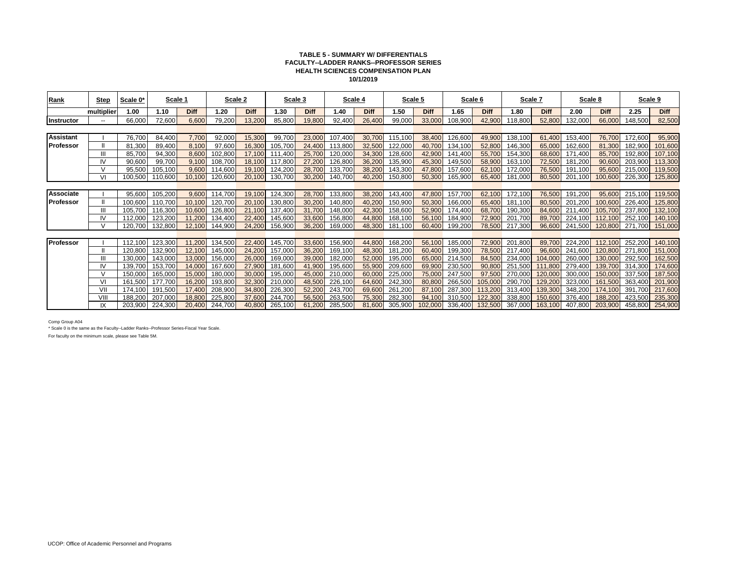#### **TABLE 5 - SUMMARY W/ DIFFERENTIALS FACULTY--LADDER RANKS--PROFESSOR SERIES HEALTH SCIENCES COMPENSATION PLAN 10/1/2019**

| Rank              | <b>Step</b>    | Scale 0*           | Scale 1            |                  |                    | Scale 2          | Scale 3            |                  | Scale 4            |                  | Scale 5            |                  | Scale 6            |                  | Scale 7            |                    | Scale 8            |                    |                    | Scale 9            |
|-------------------|----------------|--------------------|--------------------|------------------|--------------------|------------------|--------------------|------------------|--------------------|------------------|--------------------|------------------|--------------------|------------------|--------------------|--------------------|--------------------|--------------------|--------------------|--------------------|
|                   | multiplier     | 1.00               | 1.10               | Diff             | 1.20               | <b>Diff</b>      | 1.30               | <b>Diff</b>      | 1.40               | <b>Diff</b>      | 1.50               | <b>Diff</b>      | 1.65               | <b>Diff</b>      | 1.80               | <b>Diff</b>        | 2.00               | <b>Diff</b>        | 2.25               | <b>Diff</b>        |
| Instructor        | $- -$          | 66,000             | 72,600             | 6,600            | 79,200             | 13,200           | 85,800             | 19,800           | 92,400             | 26,400           | 99,00              | 33,000           | 108,900            | 42,900           | 118,800            | 52,800             | 32,000             | 66,000             | 148,500            | 82,500             |
|                   |                |                    |                    |                  |                    |                  |                    |                  |                    |                  |                    |                  |                    |                  |                    |                    |                    |                    |                    |                    |
| <b>Assistant</b>  |                | 76,700             | 84,400             | 7,700            | 92,000             | 15,300           | 99.700             | 23,000           | 107,400            | 30.700           | 115,100            | 38,400           | 126,600            | 49,900           | 138,100            | 61.400             | 153,400            | 76.70              | 172,600            | 95,900             |
| <b>IProfessor</b> |                | 81.300             | 89,400             | 8,100            | 97,600             | 16,300           | 105,700            | 24,400           | 113,800            | 32,500           | 122,000            | 40,700           | 134.100            | 52,800           | 146.300            | 65,000             | 162.600            | 81,300             | 182,900            | 101,600            |
|                   |                | 85,700             | 94,300             | 8,600            | 102,800            | 17.100           | 111,400            | 25,700           | 120,000            | 34,300           | 128,600            | 42,900           | 141,400            | 55,700           | 154,300            | 68,600             | 171,400            | 85.700             | 192,800            | 107,100            |
|                   | IV             | 90,600             | 99,700             | 9,100            | 108,700            | 18,100           | 117,800            | 27,200           | 126,800            | 36,200           | 135,900            | 45,300           | 149,500            | 58,900           | 163,100            | 72,500             | 181.200            | 90.60              | 203,900            | 113,300            |
|                   |                | 95,500             | 105,100            | 9,600            | 114,600            | 19,100           | 124,200            | 28,700           | 133,700            | 38,200           | 143,300            | 47,800           | 157,600            | 62,100           | 172,000            | 76,500             | 191.100            | 95,600             | 215,000            | 119,500            |
|                   | VI             | 100,500            | 110,600            | 10,100           | 120,600            | 20,100           | 130,700            | 30,200           | 140,700            | 40,200           | 150,800            | 50,300           | 165,900            | 65,400           | 181,000            | 80,500             | 201,100            | 100,600            | 226,300            | 125,800            |
|                   |                |                    |                    |                  |                    |                  |                    |                  |                    |                  |                    |                  |                    |                  |                    |                    |                    |                    |                    |                    |
| Associate         |                | 95,600             | 105,200            | 9,600            | 114,700            | 19,100           | 124,300            | 28,700           | 133,800            | 38,200           | 143,400            | 47,800           | 157,700            | 62,100           | 172,100            | 76,500             | 191,200            | 95,600             | 215,100            | 119,500            |
| Professor         |                | 100,600            | 110,700            | 10,100           | 120,700            | 20,100           | 130,800            | 30,200           | 140,800            | 40,200           | 150,900            | 50,300           | 166,000            | 65,400           | 181,100            | 80,500             | 201,200            | 100,600            | 226,400            | 125,800            |
|                   |                | 105.700            | 116,300            | 10,600           | 126,800            | 21.100           | 137,400            | 31,700           | 148,000            | 42,300           | 158,600            | 52,900           | 174,400            | 68,700           | 190,300            | 84.600             | 211.400            | 105,700            | 237,800            | 132,100            |
|                   |                | 112,000            | 123,200            | 11,200           | 134,400            | 22,400           | 145,600            | 33,600           | 156,800            | 44,800           | 168,100            | 56,100           | 184,900            | 72,900           | 201,700            | 89.700             | 224.100            | 112,100            | 252.100            | 140,100            |
|                   | $\mathcal{U}$  | 120,700            | 132,800            | 12,100           | 144,900            | 24,200           | 156,900            | 36,200           | 169,000            | 48,300           | 181,100            | 60,400           | 199,200            | 78,500           | 217,300            | 96,600             | 241,500            | 120,800            | 271,700            | 151,000            |
|                   |                |                    |                    |                  |                    |                  |                    |                  |                    |                  |                    |                  |                    |                  |                    |                    |                    |                    |                    |                    |
| <b>Professor</b>  |                | 112.100            | 123,300            | 11,200           | 134.500            | 22,400           | 145,700            | 33,600           | 156,900            | 44.800           | 168,200            | 56,100           | 185,000            | 72,900           | 201,800            | 89.700             | 224,200            | 112,100            | 252,200            | 140,100            |
|                   |                | 120,800            | 132,900            | 12,100           | 145,000            | 24,200           | 157,000            | 36,200           | 169,100            | 48,300           | 181,200            | 60,400           | 199,300            | 78,500           | 217,400            | 96,600             | 241,600<br>260,000 | 120,800            | 271,800            | 151,000            |
|                   |                | 130.000<br>139.700 | 143.000<br>153,700 | 13,000<br>14,000 | 156.000<br>167,600 | 26,000<br>27,900 | 169.000<br>181,600 | 39,000<br>41,900 | 182.000<br>195,600 | 52,000<br>55,900 | 195.000<br>209,600 | 65,000<br>69,900 | 214.500<br>230,500 | 84.500<br>90.800 | 234.000<br>251,500 | 104.000<br>111.800 | 279,400            | 130,000<br>139,700 | 292.500<br>314.300 | 162,500<br>174,600 |
|                   |                | 150.000            | 165,000            | 15,000           | 180,000            | 30,000           | 195,000            | 45,000           | 210,000            | 60,000           | 225,000            | 75,000           | 247,500            | 97,500           | 270,000            | 120,000            | 300,000            | 150,000            | 337,500            | 187,500            |
|                   | V <sub>l</sub> | 161.500            | 177,700            | 16,200           | 193,800            | 32,300           | 210,000            | 48,500           | 226,100            | 64,600           | 242,300            | 80,800           | 266,500            | 105.000          | 290,700            | 129,200            | 323,000            | 161,500            | 363,400            | 201,900            |
|                   | VII            | 174.100            | 191,500            | 17,400           | 208,900            | 34,800           | 226,300            | 52,200           | 243,700            | 69,600           | 261,200            | 87,100           | 287,300            | 113,200          | 313,400            | 139,300            | 348,200            | 174.100            | 391,700            | 217,600            |
|                   | VII.           | 188.200            | 207,000            | 18,800           | 225,800            | 37,600           | 244,700            | 56,500           | 263,500            | 75,300           | 282,300            | 94,100           | 310,500            | 122,300          | 338,800            | 150,600            | 376,400            | 188,200            | 423,500            | 235,300            |
|                   |                | 203.900            | 224,300            | 20,400           | 244,700            | 40,800           | 265,100            | 61,200           | 285,500            | 81.600           | 305,900            | 102.000          | 336,400            | 132,500          | 367,000            | 163,100            | 407,800            | 203,900            | 458.800            | 254,900            |

Comp Group A04

\* Scale 0 is the same as the Faculty--Ladder Ranks--Professor Series-Fiscal Year Scale.

For faculty on the minimum scale, please see Table 5M.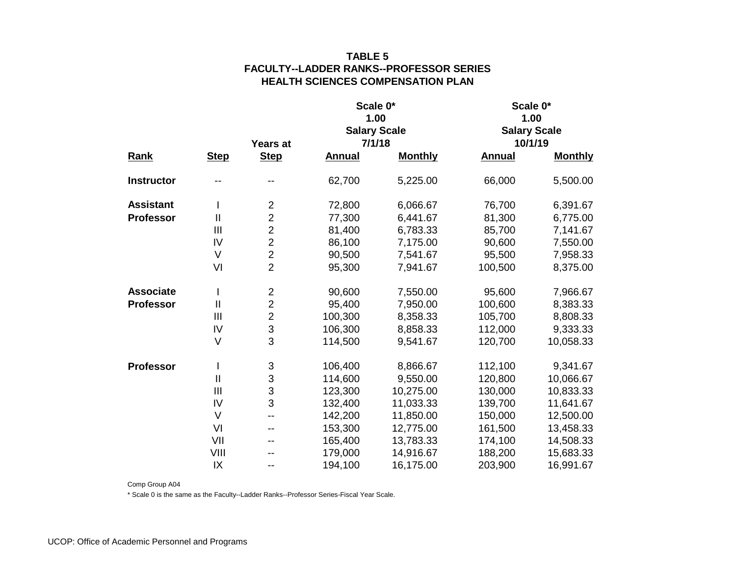|                   |                            |                           |               | Scale 0*            | Scale 0*            |                |  |
|-------------------|----------------------------|---------------------------|---------------|---------------------|---------------------|----------------|--|
|                   |                            |                           |               | 1.00                |                     | 1.00           |  |
|                   |                            |                           |               | <b>Salary Scale</b> | <b>Salary Scale</b> |                |  |
|                   |                            | Years at                  |               | 7/1/18              | 10/1/19             |                |  |
| <b>Rank</b>       | <b>Step</b>                | <b>Step</b>               | <b>Annual</b> | <b>Monthly</b>      | <b>Annual</b>       | <b>Monthly</b> |  |
| <b>Instructor</b> |                            |                           | 62,700        | 5,225.00            | 66,000              | 5,500.00       |  |
| <b>Assistant</b>  | $\mathsf{I}$               | $\overline{2}$            | 72,800        | 6,066.67            | 76,700              | 6,391.67       |  |
| <b>Professor</b>  | $\mathop{\rm II}\nolimits$ | $\overline{2}$            | 77,300        | 6,441.67            | 81,300              | 6,775.00       |  |
|                   | $\mathbf{III}$             | $\overline{c}$            | 81,400        | 6,783.33            | 85,700              | 7,141.67       |  |
|                   | IV                         | $\overline{2}$            | 86,100        | 7,175.00            | 90,600              | 7,550.00       |  |
|                   | $\vee$                     | $\overline{2}$            | 90,500        | 7,541.67            | 95,500              | 7,958.33       |  |
|                   | VI                         | $\overline{2}$            | 95,300        | 7,941.67            | 100,500             | 8,375.00       |  |
| <b>Associate</b>  | $\overline{1}$             | $\overline{c}$            | 90,600        | 7,550.00            | 95,600              | 7,966.67       |  |
| <b>Professor</b>  | $\mathbf{I}$               | $\overline{2}$            | 95,400        | 7,950.00            | 100,600             | 8,383.33       |  |
|                   | III                        | $\overline{c}$            | 100,300       | 8,358.33            | 105,700             | 8,808.33       |  |
|                   | IV                         | 3                         | 106,300       | 8,858.33            | 112,000             | 9,333.33       |  |
|                   | $\vee$                     | 3                         | 114,500       | 9,541.67            | 120,700             | 10,058.33      |  |
| <b>Professor</b>  | L                          | $\ensuremath{\mathsf{3}}$ | 106,400       | 8,866.67            | 112,100             | 9,341.67       |  |
|                   | $\mathbf{  }$              | $\mathsf 3$               | 114,600       | 9,550.00            | 120,800             | 10,066.67      |  |
|                   | III                        | 3                         | 123,300       | 10,275.00           | 130,000             | 10,833.33      |  |
|                   | IV                         | 3                         | 132,400       | 11,033.33           | 139,700             | 11,641.67      |  |
|                   | $\vee$                     | $-$                       | 142,200       | 11,850.00           | 150,000             | 12,500.00      |  |
|                   | VI                         | $-$                       | 153,300       | 12,775.00           | 161,500             | 13,458.33      |  |
|                   | VII                        | --                        | 165,400       | 13,783.33           | 174,100             | 14,508.33      |  |
|                   | VIII                       |                           | 179,000       | 14,916.67           | 188,200             | 15,683.33      |  |
|                   | IX                         | $-$                       | 194,100       | 16,175.00           | 203,900             | 16,991.67      |  |

Comp Group A04

\* Scale 0 is the same as the Faculty--Ladder Ranks--Professor Series-Fiscal Year Scale.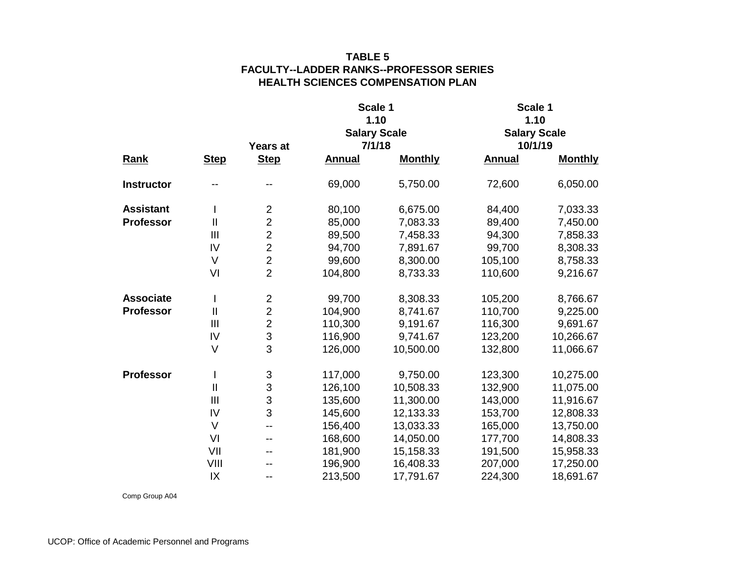|                   |                |                 | Scale 1       |                     | Scale 1             |                |  |  |
|-------------------|----------------|-----------------|---------------|---------------------|---------------------|----------------|--|--|
|                   |                |                 |               | 1.10                |                     | 1.10           |  |  |
|                   |                |                 |               | <b>Salary Scale</b> | <b>Salary Scale</b> |                |  |  |
|                   |                | <b>Years at</b> |               | 7/1/18              | 10/1/19             |                |  |  |
| <b>Rank</b>       | <b>Step</b>    | <b>Step</b>     | <b>Annual</b> | <b>Monthly</b>      | <b>Annual</b>       | <b>Monthly</b> |  |  |
| <b>Instructor</b> |                |                 | 69,000        | 5,750.00            | 72,600              | 6,050.00       |  |  |
| <b>Assistant</b>  | I.             | $\overline{c}$  | 80,100        | 6,675.00            | 84,400              | 7,033.33       |  |  |
| <b>Professor</b>  | $\mathbf{I}$   | $\overline{2}$  | 85,000        | 7,083.33            | 89,400              | 7,450.00       |  |  |
|                   | III            | $\overline{2}$  | 89,500        | 7,458.33            | 94,300              | 7,858.33       |  |  |
|                   | IV             | $\overline{2}$  | 94,700        | 7,891.67            | 99,700              | 8,308.33       |  |  |
|                   | $\vee$         | $\overline{2}$  | 99,600        | 8,300.00            | 105,100             | 8,758.33       |  |  |
|                   | VI             | $\overline{2}$  | 104,800       | 8,733.33            | 110,600             | 9,216.67       |  |  |
| <b>Associate</b>  | I              | $\overline{c}$  | 99,700        | 8,308.33            | 105,200             | 8,766.67       |  |  |
| <b>Professor</b>  | $\mathbf{II}$  | $\overline{2}$  | 104,900       | 8,741.67            | 110,700             | 9,225.00       |  |  |
|                   | $\mathbf{III}$ | $\overline{2}$  | 110,300       | 9,191.67            | 116,300             | 9,691.67       |  |  |
|                   | IV             | 3               | 116,900       | 9,741.67            | 123,200             | 10,266.67      |  |  |
|                   | V              | 3               | 126,000       | 10,500.00           | 132,800             | 11,066.67      |  |  |
| <b>Professor</b>  | I              | 3               | 117,000       | 9,750.00            | 123,300             | 10,275.00      |  |  |
|                   | $\mathbf{I}$   | 3               | 126,100       | 10,508.33           | 132,900             | 11,075.00      |  |  |
|                   | III            | 3               | 135,600       | 11,300.00           | 143,000             | 11,916.67      |  |  |
|                   | IV             | 3               | 145,600       | 12,133.33           | 153,700             | 12,808.33      |  |  |
|                   | $\vee$         | --              | 156,400       | 13,033.33           | 165,000             | 13,750.00      |  |  |
|                   | VI             | --              | 168,600       | 14,050.00           | 177,700             | 14,808.33      |  |  |
|                   | VII            | --              | 181,900       | 15,158.33           | 191,500             | 15,958.33      |  |  |
|                   | VIII           |                 | 196,900       | 16,408.33           | 207,000             | 17,250.00      |  |  |
|                   | IX             | --              | 213,500       | 17,791.67           | 224,300             | 18,691.67      |  |  |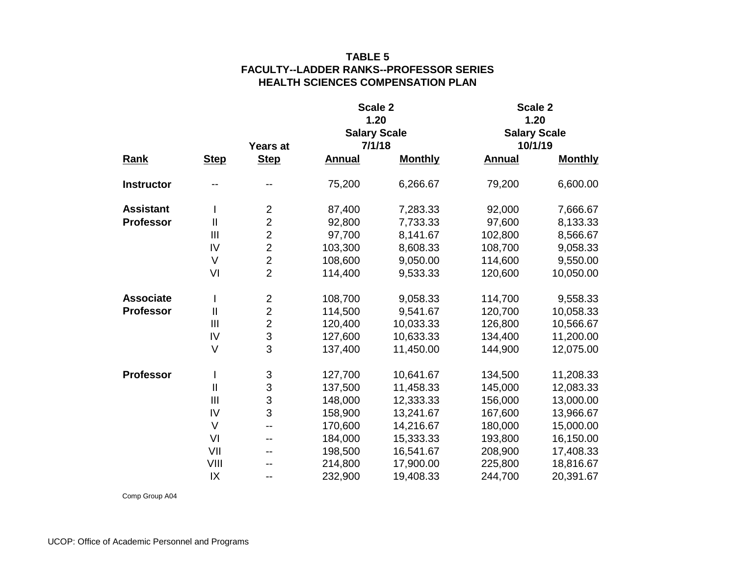|                   |                |                |               | Scale 2             | Scale 2             |                |  |  |
|-------------------|----------------|----------------|---------------|---------------------|---------------------|----------------|--|--|
|                   |                |                |               | 1.20                |                     | 1.20           |  |  |
|                   |                |                |               | <b>Salary Scale</b> | <b>Salary Scale</b> |                |  |  |
|                   |                | Years at       |               | 7/1/18              |                     | 10/1/19        |  |  |
| <b>Rank</b>       | <b>Step</b>    | <b>Step</b>    | <b>Annual</b> | <b>Monthly</b>      | <b>Annual</b>       | <b>Monthly</b> |  |  |
| <b>Instructor</b> |                |                | 75,200        | 6,266.67            | 79,200              | 6,600.00       |  |  |
| <b>Assistant</b>  | T              | $\overline{2}$ | 87,400        | 7,283.33            | 92,000              | 7,666.67       |  |  |
| <b>Professor</b>  | Ш              | $\overline{2}$ | 92,800        | 7,733.33            | 97,600              | 8,133.33       |  |  |
|                   | III            | $\overline{2}$ | 97,700        | 8,141.67            | 102,800             | 8,566.67       |  |  |
|                   | IV             | $\overline{2}$ | 103,300       | 8,608.33            | 108,700             | 9,058.33       |  |  |
|                   | $\vee$         | $\overline{2}$ | 108,600       | 9,050.00            | 114,600             | 9,550.00       |  |  |
|                   | VI             | $\overline{2}$ | 114,400       | 9,533.33            | 120,600             | 10,050.00      |  |  |
| <b>Associate</b>  | $\mathsf{l}$   | $\overline{2}$ | 108,700       | 9,058.33            | 114,700             | 9,558.33       |  |  |
| <b>Professor</b>  | $\mathbf{II}$  | $\overline{2}$ | 114,500       | 9,541.67            | 120,700             | 10,058.33      |  |  |
|                   | III            | $\overline{2}$ | 120,400       | 10,033.33           | 126,800             | 10,566.67      |  |  |
|                   | IV             | 3              | 127,600       | 10,633.33           | 134,400             | 11,200.00      |  |  |
|                   | $\vee$         | $\overline{3}$ | 137,400       | 11,450.00           | 144,900             | 12,075.00      |  |  |
| <b>Professor</b>  | I              | 3              | 127,700       | 10,641.67           | 134,500             | 11,208.33      |  |  |
|                   | $\mathbf{I}$   | $\mathfrak{S}$ | 137,500       | 11,458.33           | 145,000             | 12,083.33      |  |  |
|                   | $\mathbf{III}$ | 3              | 148,000       | 12,333.33           | 156,000             | 13,000.00      |  |  |
|                   | IV             | 3              | 158,900       | 13,241.67           | 167,600             | 13,966.67      |  |  |
|                   | $\vee$         | $-$            | 170,600       | 14,216.67           | 180,000             | 15,000.00      |  |  |
|                   | VI             |                | 184,000       | 15,333.33           | 193,800             | 16,150.00      |  |  |
|                   | VII            | --             | 198,500       | 16,541.67           | 208,900             | 17,408.33      |  |  |
|                   | VIII           |                | 214,800       | 17,900.00           | 225,800             | 18,816.67      |  |  |
|                   | IX             | --             | 232,900       | 19,408.33           | 244,700             | 20,391.67      |  |  |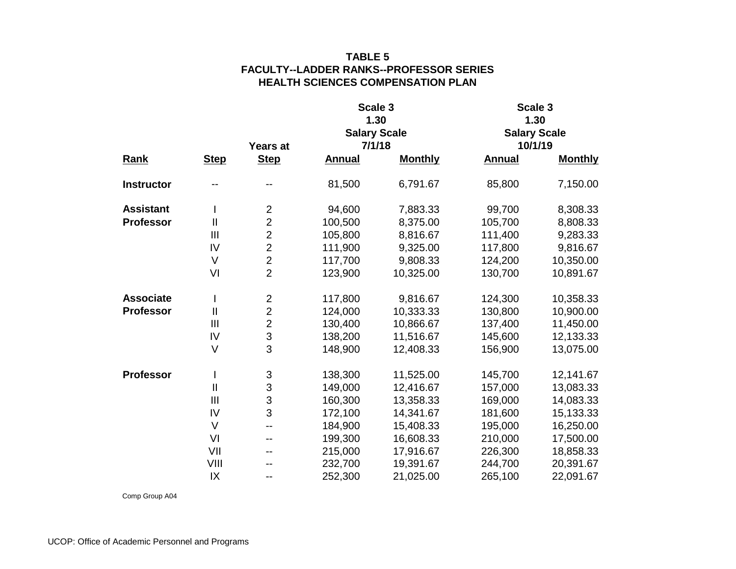|                   |                |                 |               | Scale 3             | Scale 3             |                |  |  |
|-------------------|----------------|-----------------|---------------|---------------------|---------------------|----------------|--|--|
|                   |                |                 |               | 1.30                |                     | 1.30           |  |  |
|                   |                |                 |               | <b>Salary Scale</b> | <b>Salary Scale</b> |                |  |  |
|                   |                | <b>Years at</b> |               | 7/1/18              | 10/1/19             |                |  |  |
| <b>Rank</b>       | <b>Step</b>    | <b>Step</b>     | <b>Annual</b> | <b>Monthly</b>      | <b>Annual</b>       | <b>Monthly</b> |  |  |
| <b>Instructor</b> |                |                 | 81,500        | 6,791.67            | 85,800              | 7,150.00       |  |  |
| <b>Assistant</b>  | T              | $\mathbf 2$     | 94,600        | 7,883.33            | 99,700              | 8,308.33       |  |  |
| <b>Professor</b>  | $\mathbf{II}$  | $\overline{2}$  | 100,500       | 8,375.00            | 105,700             | 8,808.33       |  |  |
|                   | $\mathbf{III}$ | $\overline{2}$  | 105,800       | 8,816.67            | 111,400             | 9,283.33       |  |  |
|                   | IV             | $\overline{2}$  | 111,900       | 9,325.00            | 117,800             | 9,816.67       |  |  |
|                   | $\vee$         | $\overline{2}$  | 117,700       | 9,808.33            | 124,200             | 10,350.00      |  |  |
|                   | VI             | $\overline{2}$  | 123,900       | 10,325.00           | 130,700             | 10,891.67      |  |  |
| <b>Associate</b>  | I              | $\overline{2}$  | 117,800       | 9,816.67            | 124,300             | 10,358.33      |  |  |
| <b>Professor</b>  | $\mathbf{  }$  | $\overline{2}$  | 124,000       | 10,333.33           | 130,800             | 10,900.00      |  |  |
|                   | $\mathbf{III}$ | $\overline{2}$  | 130,400       | 10,866.67           | 137,400             | 11,450.00      |  |  |
|                   | IV             | 3               | 138,200       | 11,516.67           | 145,600             | 12,133.33      |  |  |
|                   | $\vee$         | $\overline{3}$  | 148,900       | 12,408.33           | 156,900             | 13,075.00      |  |  |
| <b>Professor</b>  | I              | 3               | 138,300       | 11,525.00           | 145,700             | 12,141.67      |  |  |
|                   | $\mathbf{I}$   | 3               | 149,000       | 12,416.67           | 157,000             | 13,083.33      |  |  |
|                   | $\mathbf{III}$ | 3               | 160,300       | 13,358.33           | 169,000             | 14,083.33      |  |  |
|                   | IV             | 3               | 172,100       | 14,341.67           | 181,600             | 15,133.33      |  |  |
|                   | $\vee$         | --              | 184,900       | 15,408.33           | 195,000             | 16,250.00      |  |  |
|                   | VI             | --              | 199,300       | 16,608.33           | 210,000             | 17,500.00      |  |  |
|                   | VII            | --              | 215,000       | 17,916.67           | 226,300             | 18,858.33      |  |  |
|                   | VIII           |                 | 232,700       | 19,391.67           | 244,700             | 20,391.67      |  |  |
|                   | IX             | --              | 252,300       | 21,025.00           | 265,100             | 22,091.67      |  |  |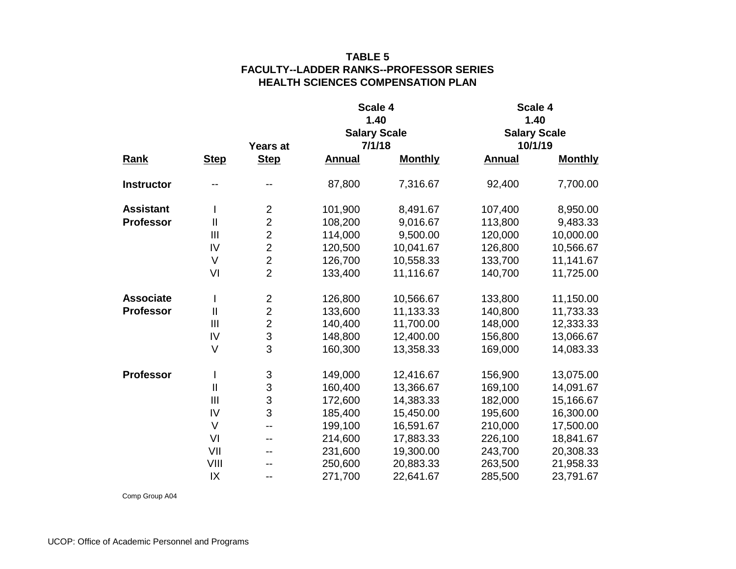|                   |                |                |               | Scale 4             | Scale 4       |                     |  |  |
|-------------------|----------------|----------------|---------------|---------------------|---------------|---------------------|--|--|
|                   |                |                |               | 1.40                |               | 1.40                |  |  |
|                   |                |                |               | <b>Salary Scale</b> |               | <b>Salary Scale</b> |  |  |
|                   |                | Years at       |               | 7/1/18              |               | 10/1/19             |  |  |
| <b>Rank</b>       | <b>Step</b>    | <b>Step</b>    | <b>Annual</b> | <b>Monthly</b>      | <b>Annual</b> | <b>Monthly</b>      |  |  |
| <b>Instructor</b> |                |                | 87,800        | 7,316.67            | 92,400        | 7,700.00            |  |  |
| <b>Assistant</b>  | T              | $\overline{2}$ | 101,900       | 8,491.67            | 107,400       | 8,950.00            |  |  |
| <b>Professor</b>  | $\mathbf{I}$   | $\overline{2}$ | 108,200       | 9,016.67            | 113,800       | 9,483.33            |  |  |
|                   | $\mathbf{III}$ | $\overline{2}$ | 114,000       | 9,500.00            | 120,000       | 10,000.00           |  |  |
|                   | IV             | $\overline{2}$ | 120,500       | 10,041.67           | 126,800       | 10,566.67           |  |  |
|                   | $\vee$         | $\overline{2}$ | 126,700       | 10,558.33           | 133,700       | 11,141.67           |  |  |
|                   | VI             | $\overline{2}$ | 133,400       | 11,116.67           | 140,700       | 11,725.00           |  |  |
| <b>Associate</b>  | $\mathsf{l}$   | $\overline{2}$ | 126,800       | 10,566.67           | 133,800       | 11,150.00           |  |  |
| <b>Professor</b>  | $\mathbf{I}$   | $\overline{2}$ | 133,600       | 11,133.33           | 140,800       | 11,733.33           |  |  |
|                   | III            | $\overline{2}$ | 140,400       | 11,700.00           | 148,000       | 12,333.33           |  |  |
|                   | IV             | 3              | 148,800       | 12,400.00           | 156,800       | 13,066.67           |  |  |
|                   | $\vee$         | $\overline{3}$ | 160,300       | 13,358.33           | 169,000       | 14,083.33           |  |  |
| <b>Professor</b>  | $\mathsf{l}$   | 3              | 149,000       | 12,416.67           | 156,900       | 13,075.00           |  |  |
|                   | $\mathbf{I}$   | $\mathfrak{S}$ | 160,400       | 13,366.67           | 169,100       | 14,091.67           |  |  |
|                   | $\mathbf{III}$ | 3              | 172,600       | 14,383.33           | 182,000       | 15,166.67           |  |  |
|                   | IV             | 3              | 185,400       | 15,450.00           | 195,600       | 16,300.00           |  |  |
|                   | $\vee$         | $-$            | 199,100       | 16,591.67           | 210,000       | 17,500.00           |  |  |
|                   | VI             | --             | 214,600       | 17,883.33           | 226,100       | 18,841.67           |  |  |
|                   | VII            | --             | 231,600       | 19,300.00           | 243,700       | 20,308.33           |  |  |
|                   | VIII           |                | 250,600       | 20,883.33           | 263,500       | 21,958.33           |  |  |
|                   | IX             | --             | 271,700       | 22,641.67           | 285,500       | 23,791.67           |  |  |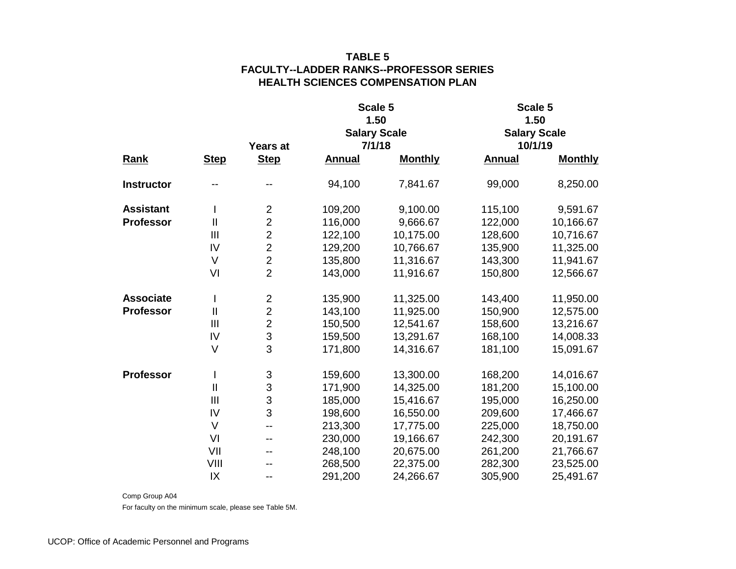|                   |              |                         |               | Scale 5             | Scale 5             |                |  |  |
|-------------------|--------------|-------------------------|---------------|---------------------|---------------------|----------------|--|--|
|                   |              |                         |               | 1.50                |                     | 1.50           |  |  |
|                   |              |                         |               | <b>Salary Scale</b> | <b>Salary Scale</b> |                |  |  |
|                   |              | <b>Years at</b>         |               | 7/1/18              | 10/1/19             |                |  |  |
| <b>Rank</b>       | <b>Step</b>  | <b>Step</b>             | <b>Annual</b> | <b>Monthly</b>      | <b>Annual</b>       | <b>Monthly</b> |  |  |
| <b>Instructor</b> |              |                         | 94,100        | 7,841.67            | 99,000              | 8,250.00       |  |  |
| <b>Assistant</b>  | T            | $\overline{c}$          | 109,200       | 9,100.00            | 115,100             | 9,591.67       |  |  |
| <b>Professor</b>  | $\mathbf{I}$ | $\overline{2}$          | 116,000       | 9,666.67            | 122,000             | 10,166.67      |  |  |
|                   | III          | $\overline{c}$          | 122,100       | 10,175.00           | 128,600             | 10,716.67      |  |  |
|                   | IV           | $\overline{2}$          | 129,200       | 10,766.67           | 135,900             | 11,325.00      |  |  |
|                   | V            | $\overline{2}$          | 135,800       | 11,316.67           | 143,300             | 11,941.67      |  |  |
|                   | VI           | $\overline{2}$          | 143,000       | 11,916.67           | 150,800             | 12,566.67      |  |  |
| <b>Associate</b>  | I            | $\overline{\mathbf{c}}$ | 135,900       | 11,325.00           | 143,400             | 11,950.00      |  |  |
| <b>Professor</b>  | $\mathbf{I}$ | $\overline{2}$          | 143,100       | 11,925.00           | 150,900             | 12,575.00      |  |  |
|                   | III          | $\overline{2}$          | 150,500       | 12,541.67           | 158,600             | 13,216.67      |  |  |
|                   | IV           | 3                       | 159,500       | 13,291.67           | 168,100             | 14,008.33      |  |  |
|                   | V            | 3                       | 171,800       | 14,316.67           | 181,100             | 15,091.67      |  |  |
| <b>Professor</b>  | I            | 3                       | 159,600       | 13,300.00           | 168,200             | 14,016.67      |  |  |
|                   | $\mathbf{I}$ | 3                       | 171,900       | 14,325.00           | 181,200             | 15,100.00      |  |  |
|                   | III          | 3                       | 185,000       | 15,416.67           | 195,000             | 16,250.00      |  |  |
|                   | IV           | 3                       | 198,600       | 16,550.00           | 209,600             | 17,466.67      |  |  |
|                   | V            | --                      | 213,300       | 17,775.00           | 225,000             | 18,750.00      |  |  |
|                   | VI           | --                      | 230,000       | 19,166.67           | 242,300             | 20,191.67      |  |  |
|                   | VII          | --                      | 248,100       | 20,675.00           | 261,200             | 21,766.67      |  |  |
|                   | VIII         |                         | 268,500       | 22,375.00           | 282,300             | 23,525.00      |  |  |
|                   | IX           | --                      | 291,200       | 24,266.67           | 305,900             | 25,491.67      |  |  |

Comp Group A04

For faculty on the minimum scale, please see Table 5M.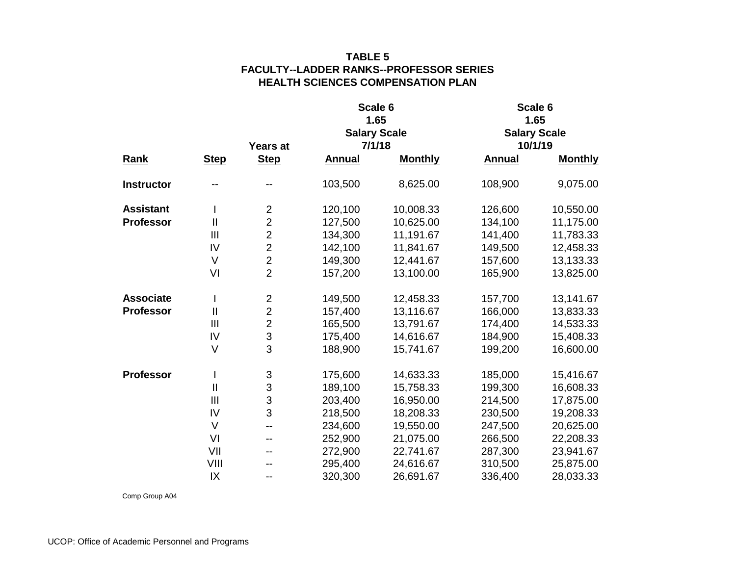| <b>Rank</b><br><b>Instructor</b><br><b>Assistant</b><br><b>Professor</b><br><b>Associate</b><br><b>Professor</b><br><b>Professor</b> |                |                           |               | Scale 6             | Scale 6       |                     |  |  |
|--------------------------------------------------------------------------------------------------------------------------------------|----------------|---------------------------|---------------|---------------------|---------------|---------------------|--|--|
|                                                                                                                                      |                |                           |               | 1.65                |               | 1.65                |  |  |
|                                                                                                                                      |                |                           |               | <b>Salary Scale</b> |               | <b>Salary Scale</b> |  |  |
|                                                                                                                                      |                | Years at                  |               | 7/1/18              |               | 10/1/19             |  |  |
|                                                                                                                                      | <b>Step</b>    | <b>Step</b>               | <b>Annual</b> | <b>Monthly</b>      | <b>Annual</b> | <b>Monthly</b>      |  |  |
|                                                                                                                                      |                |                           | 103,500       | 8,625.00            | 108,900       | 9,075.00            |  |  |
|                                                                                                                                      |                | $\mathbf 2$               | 120,100       | 10,008.33           | 126,600       | 10,550.00           |  |  |
|                                                                                                                                      | $\mathbf{I}$   | $\overline{2}$            | 127,500       | 10,625.00           | 134,100       | 11,175.00           |  |  |
|                                                                                                                                      | III            | $\overline{2}$            | 134,300       | 11,191.67           | 141,400       | 11,783.33           |  |  |
|                                                                                                                                      | IV             | $\overline{2}$            | 142,100       | 11,841.67           | 149,500       | 12,458.33           |  |  |
|                                                                                                                                      | $\vee$         | $\overline{2}$            | 149,300       | 12,441.67           | 157,600       | 13,133.33           |  |  |
|                                                                                                                                      | VI             | $\overline{2}$            | 157,200       | 13,100.00           | 165,900       | 13,825.00           |  |  |
|                                                                                                                                      |                | $\overline{2}$            | 149,500       | 12,458.33           | 157,700       | 13,141.67           |  |  |
|                                                                                                                                      | $\mathbf{II}$  | $\overline{2}$            | 157,400       | 13,116.67           | 166,000       | 13,833.33           |  |  |
|                                                                                                                                      | $\mathbf{III}$ | $\overline{2}$            | 165,500       | 13,791.67           | 174,400       | 14,533.33           |  |  |
|                                                                                                                                      | IV             | 3                         | 175,400       | 14,616.67           | 184,900       | 15,408.33           |  |  |
|                                                                                                                                      | $\vee$         | 3                         | 188,900       | 15,741.67           | 199,200       | 16,600.00           |  |  |
|                                                                                                                                      | I              | $\ensuremath{\mathsf{3}}$ | 175,600       | 14,633.33           | 185,000       | 15,416.67           |  |  |
|                                                                                                                                      | $\mathbf{I}$   | 3                         | 189,100       | 15,758.33           | 199,300       | 16,608.33           |  |  |
|                                                                                                                                      | III            | 3                         | 203,400       | 16,950.00           | 214,500       | 17,875.00           |  |  |
|                                                                                                                                      | IV             | 3                         | 218,500       | 18,208.33           | 230,500       | 19,208.33           |  |  |
|                                                                                                                                      | $\vee$         | $-$                       | 234,600       | 19,550.00           | 247,500       | 20,625.00           |  |  |
|                                                                                                                                      | VI             | --                        | 252,900       | 21,075.00           | 266,500       | 22,208.33           |  |  |
|                                                                                                                                      | VII            |                           | 272,900       | 22,741.67           | 287,300       | 23,941.67           |  |  |
|                                                                                                                                      | VIII           |                           | 295,400       | 24,616.67           | 310,500       | 25,875.00           |  |  |
|                                                                                                                                      | IX             | --                        | 320,300       | 26,691.67           | 336,400       | 28,033.33           |  |  |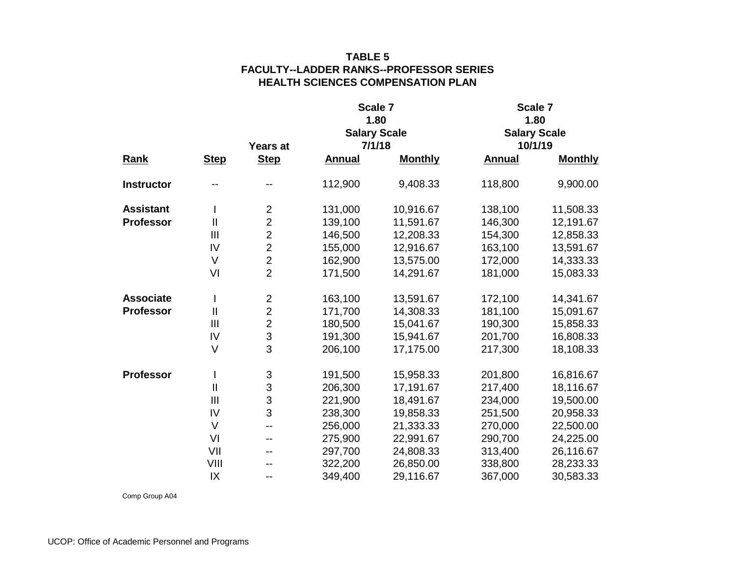| <b>Rank</b><br><b>Instructor</b><br><b>Assistant</b><br><b>Professor</b><br><b>Associate</b><br><b>Professor</b><br><b>Professor</b> |                |                           |               | Scale 7             | Scale 7       |                     |  |  |
|--------------------------------------------------------------------------------------------------------------------------------------|----------------|---------------------------|---------------|---------------------|---------------|---------------------|--|--|
|                                                                                                                                      |                |                           |               | 1.80                |               | 1.80                |  |  |
|                                                                                                                                      |                |                           |               | <b>Salary Scale</b> |               | <b>Salary Scale</b> |  |  |
|                                                                                                                                      |                | Years at                  |               | 7/1/18              |               | 10/1/19             |  |  |
|                                                                                                                                      | <b>Step</b>    | <b>Step</b>               | <b>Annual</b> | <b>Monthly</b>      | <b>Annual</b> | <b>Monthly</b>      |  |  |
|                                                                                                                                      |                |                           | 112,900       | 9,408.33            | 118,800       | 9,900.00            |  |  |
|                                                                                                                                      |                | $\mathbf 2$               | 131,000       | 10,916.67           | 138,100       | 11,508.33           |  |  |
|                                                                                                                                      | $\mathbf{I}$   | $\overline{2}$            | 139,100       | 11,591.67           | 146,300       | 12,191.67           |  |  |
|                                                                                                                                      | III            | $\overline{2}$            | 146,500       | 12,208.33           | 154,300       | 12,858.33           |  |  |
|                                                                                                                                      | IV             | $\overline{2}$            | 155,000       | 12,916.67           | 163,100       | 13,591.67           |  |  |
|                                                                                                                                      | $\vee$         | $\overline{2}$            | 162,900       | 13,575.00           | 172,000       | 14,333.33           |  |  |
|                                                                                                                                      | VI             | $\overline{2}$            | 171,500       | 14,291.67           | 181,000       | 15,083.33           |  |  |
|                                                                                                                                      | I              | $\overline{2}$            | 163,100       | 13,591.67           | 172,100       | 14,341.67           |  |  |
|                                                                                                                                      | $\mathbf{II}$  | $\overline{2}$            | 171,700       | 14,308.33           | 181,100       | 15,091.67           |  |  |
|                                                                                                                                      | $\mathbf{III}$ | $\overline{2}$            | 180,500       | 15,041.67           | 190,300       | 15,858.33           |  |  |
|                                                                                                                                      | IV             | 3                         | 191,300       | 15,941.67           | 201,700       | 16,808.33           |  |  |
|                                                                                                                                      | $\vee$         | 3                         | 206,100       | 17,175.00           | 217,300       | 18,108.33           |  |  |
|                                                                                                                                      | $\mathsf{l}$   | $\ensuremath{\mathsf{3}}$ | 191,500       | 15,958.33           | 201,800       | 16,816.67           |  |  |
|                                                                                                                                      | $\mathbf{I}$   | 3                         | 206,300       | 17,191.67           | 217,400       | 18,116.67           |  |  |
|                                                                                                                                      | III            | 3                         | 221,900       | 18,491.67           | 234,000       | 19,500.00           |  |  |
|                                                                                                                                      | IV             | 3                         | 238,300       | 19,858.33           | 251,500       | 20,958.33           |  |  |
|                                                                                                                                      | $\vee$         | $-$                       | 256,000       | 21,333.33           | 270,000       | 22,500.00           |  |  |
|                                                                                                                                      | VI             | --                        | 275,900       | 22,991.67           | 290,700       | 24,225.00           |  |  |
|                                                                                                                                      | VII            | --                        | 297,700       | 24,808.33           | 313,400       | 26,116.67           |  |  |
|                                                                                                                                      | VIII           |                           | 322,200       | 26,850.00           | 338,800       | 28,233.33           |  |  |
|                                                                                                                                      | IX             | --                        | 349,400       | 29,116.67           | 367,000       | 30,583.33           |  |  |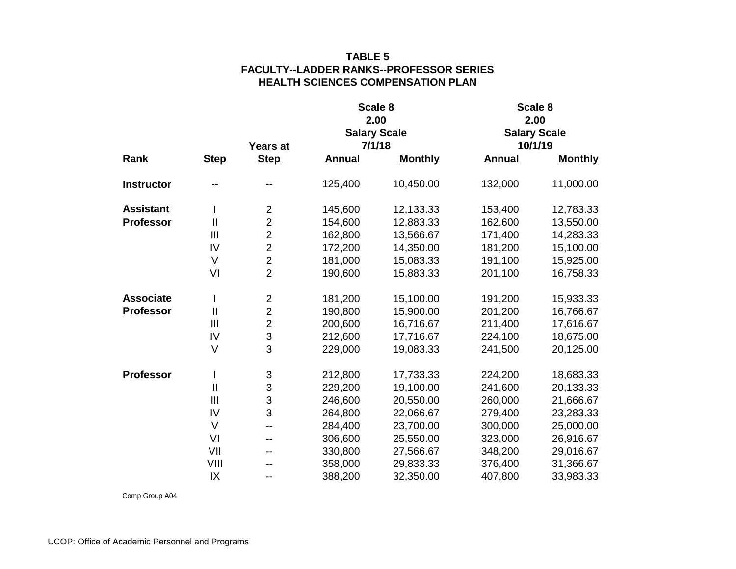|                   |                |                |               | Scale 8             | Scale 8       |                     |  |  |
|-------------------|----------------|----------------|---------------|---------------------|---------------|---------------------|--|--|
|                   |                |                |               | 2.00                |               | 2.00                |  |  |
|                   |                |                |               | <b>Salary Scale</b> |               | <b>Salary Scale</b> |  |  |
|                   |                | Years at       | 7/1/18        |                     | 10/1/19       |                     |  |  |
| <b>Rank</b>       | <b>Step</b>    | <b>Step</b>    | <b>Annual</b> | <b>Monthly</b>      | <b>Annual</b> | <b>Monthly</b>      |  |  |
| <b>Instructor</b> |                |                | 125,400       | 10,450.00           | 132,000       | 11,000.00           |  |  |
| <b>Assistant</b>  | T              | $\overline{c}$ | 145,600       | 12,133.33           | 153,400       | 12,783.33           |  |  |
| <b>Professor</b>  | $\mathbf{I}$   | $\overline{2}$ | 154,600       | 12,883.33           | 162,600       | 13,550.00           |  |  |
|                   | III            | $\overline{2}$ | 162,800       | 13,566.67           | 171,400       | 14,283.33           |  |  |
|                   | IV             | $\overline{2}$ | 172,200       | 14,350.00           | 181,200       | 15,100.00           |  |  |
|                   | $\vee$         | $\overline{2}$ | 181,000       | 15,083.33           | 191,100       | 15,925.00           |  |  |
|                   | VI             | $\overline{2}$ | 190,600       | 15,883.33           | 201,100       | 16,758.33           |  |  |
| <b>Associate</b>  | $\mathsf{l}$   | $\overline{2}$ | 181,200       | 15,100.00           | 191,200       | 15,933.33           |  |  |
| <b>Professor</b>  | $\mathbf{I}$   | $\overline{2}$ | 190,800       | 15,900.00           | 201,200       | 16,766.67           |  |  |
|                   | III            | $\overline{2}$ | 200,600       | 16,716.67           | 211,400       | 17,616.67           |  |  |
|                   | IV             | 3              | 212,600       | 17,716.67           | 224,100       | 18,675.00           |  |  |
|                   | $\vee$         | 3              | 229,000       | 19,083.33           | 241,500       | 20,125.00           |  |  |
| <b>Professor</b>  | I              | 3              | 212,800       | 17,733.33           | 224,200       | 18,683.33           |  |  |
|                   | $\mathbf{I}$   | $\mathfrak{S}$ | 229,200       | 19,100.00           | 241,600       | 20,133.33           |  |  |
|                   | $\mathbf{III}$ | 3              | 246,600       | 20,550.00           | 260,000       | 21,666.67           |  |  |
|                   | IV             | 3              | 264,800       | 22,066.67           | 279,400       | 23,283.33           |  |  |
|                   | $\vee$         | $-$            | 284,400       | 23,700.00           | 300,000       | 25,000.00           |  |  |
|                   | VI             | --             | 306,600       | 25,550.00           | 323,000       | 26,916.67           |  |  |
|                   | VII            | --             | 330,800       | 27,566.67           | 348,200       | 29,016.67           |  |  |
|                   | VIII           |                | 358,000       | 29,833.33           | 376,400       | 31,366.67           |  |  |
|                   | IX             | --             | 388,200       | 32,350.00           | 407,800       | 33,983.33           |  |  |